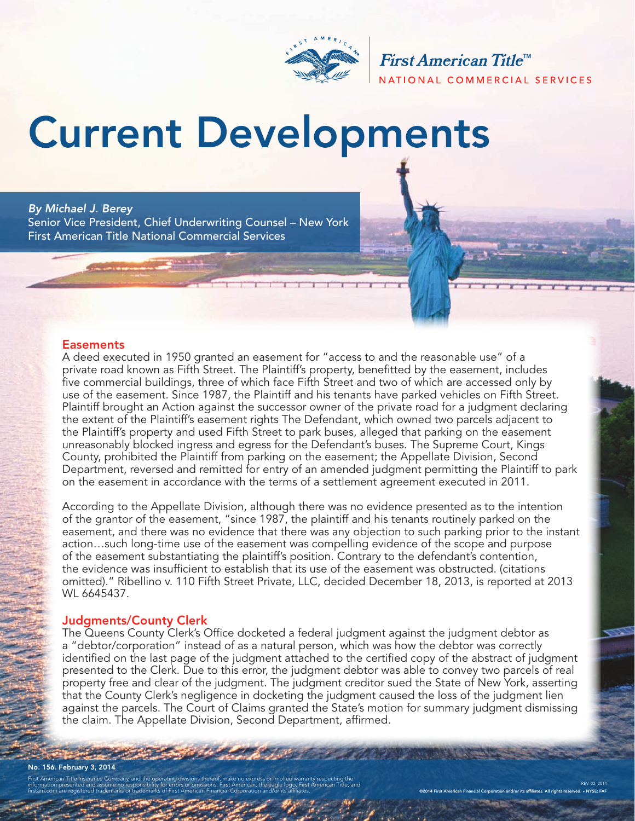

First American Title<sup>™</sup> NATIONAL COMMERCIAL SERVICES

# Current Developments

#### *By Michael J. Berey*

Senior Vice President, Chief Underwriting Counsel – New York First American Title National Commercial Services

#### **Easements**

A deed executed in 1950 granted an easement for "access to and the reasonable use" of a private road known as Fifth Street. The Plaintiff's property, benefitted by the easement, includes five commercial buildings, three of which face Fifth Street and two of which are accessed only by use of the easement. Since 1987, the Plaintiff and his tenants have parked vehicles on Fifth Street. Plaintiff brought an Action against the successor owner of the private road for a judgment declaring the extent of the Plaintiff's easement rights The Defendant, which owned two parcels adjacent to the Plaintiff's property and used Fifth Street to park buses, alleged that parking on the easement unreasonably blocked ingress and egress for the Defendant's buses. The Supreme Court, Kings County, prohibited the Plaintiff from parking on the easement; the Appellate Division, Second Department, reversed and remitted for entry of an amended judgment permitting the Plaintiff to park on the easement in accordance with the terms of a settlement agreement executed in 2011.

According to the Appellate Division, although there was no evidence presented as to the intention of the grantor of the easement, "since 1987, the plaintiff and his tenants routinely parked on the easement, and there was no evidence that there was any objection to such parking prior to the instant action…such long-time use of the easement was compelling evidence of the scope and purpose of the easement substantiating the plaintiff's position. Contrary to the defendant's contention, the evidence was insufficient to establish that its use of the easement was obstructed. (citations omitted)." Ribellino v. 110 Fifth Street Private, LLC, decided December 18, 2013, is reported at 2013 WL 6645437.

#### Judgments/County Clerk

The Queens County Clerk's Office docketed a federal judgment against the judgment debtor as a "debtor/corporation" instead of as a natural person, which was how the debtor was correctly identified on the last page of the judgment attached to the certified copy of the abstract of judgment presented to the Clerk. Due to this error, the judgment debtor was able to convey two parcels of real property free and clear of the judgment. The judgment creditor sued the State of New York, asserting that the County Clerk's negligence in docketing the judgment caused the loss of the judgment lien against the parcels. The Court of Claims granted the State's motion for summary judgment dismissing the claim. The Appellate Division, Second Department, affirmed.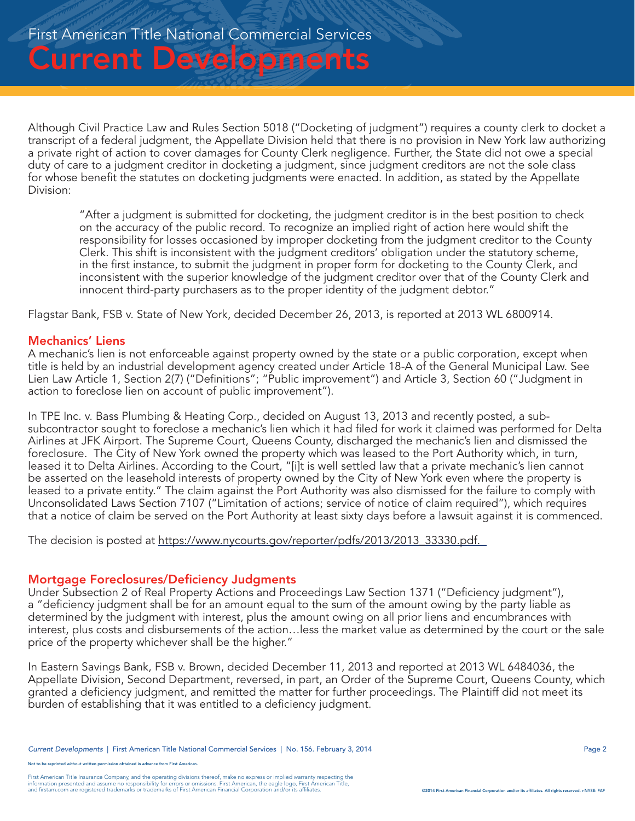Although Civil Practice Law and Rules Section 5018 ("Docketing of judgment") requires a county clerk to docket a transcript of a federal judgment, the Appellate Division held that there is no provision in New York law authorizing a private right of action to cover damages for County Clerk negligence. Further, the State did not owe a special duty of care to a judgment creditor in docketing a judgment, since judgment creditors are not the sole class for whose benefit the statutes on docketing judgments were enacted. In addition, as stated by the Appellate Division:

"After a judgment is submitted for docketing, the judgment creditor is in the best position to check on the accuracy of the public record. To recognize an implied right of action here would shift the responsibility for losses occasioned by improper docketing from the judgment creditor to the County Clerk. This shift is inconsistent with the judgment creditors' obligation under the statutory scheme, in the first instance, to submit the judgment in proper form for docketing to the County Clerk, and inconsistent with the superior knowledge of the judgment creditor over that of the County Clerk and innocent third-party purchasers as to the proper identity of the judgment debtor."

Flagstar Bank, FSB v. State of New York, decided December 26, 2013, is reported at 2013 WL 6800914.

#### Mechanics' Liens

A mechanic's lien is not enforceable against property owned by the state or a public corporation, except when title is held by an industrial development agency created under Article 18-A of the General Municipal Law. See Lien Law Article 1, Section 2(7) ("Definitions"; "Public improvement") and Article 3, Section 60 ("Judgment in action to foreclose lien on account of public improvement").

In TPE Inc. v. Bass Plumbing & Heating Corp., decided on August 13, 2013 and recently posted, a subsubcontractor sought to foreclose a mechanic's lien which it had filed for work it claimed was performed for Delta Airlines at JFK Airport. The Supreme Court, Queens County, discharged the mechanic's lien and dismissed the foreclosure. The City of New York owned the property which was leased to the Port Authority which, in turn, leased it to Delta Airlines. According to the Court, "[i]t is well settled law that a private mechanic's lien cannot be asserted on the leasehold interests of property owned by the City of New York even where the property is leased to a private entity." The claim against the Port Authority was also dismissed for the failure to comply with Unconsolidated Laws Section 7107 ("Limitation of actions; service of notice of claim required"), which requires that a notice of claim be served on the Port Authority at least sixty days before a lawsuit against it is commenced.

The decision is posted at https://www.nycourts.gov/reporter/pdfs/2013/2013\_33330.pdf.

#### Mortgage Foreclosures/Deficiency Judgments

Under Subsection 2 of Real Property Actions and Proceedings Law Section 1371 ("Deficiency judgment"), a "deficiency judgment shall be for an amount equal to the sum of the amount owing by the party liable as determined by the judgment with interest, plus the amount owing on all prior liens and encumbrances with interest, plus costs and disbursements of the action…less the market value as determined by the court or the sale price of the property whichever shall be the higher."

In Eastern Savings Bank, FSB v. Brown, decided December 11, 2013 and reported at 2013 WL 6484036, the Appellate Division, Second Department, reversed, in part, an Order of the Supreme Court, Queens County, which granted a deficiency judgment, and remitted the matter for further proceedings. The Plaintiff did not meet its burden of establishing that it was entitled to a deficiency judgment.

e reprinted without written permission obtained in advance from First American.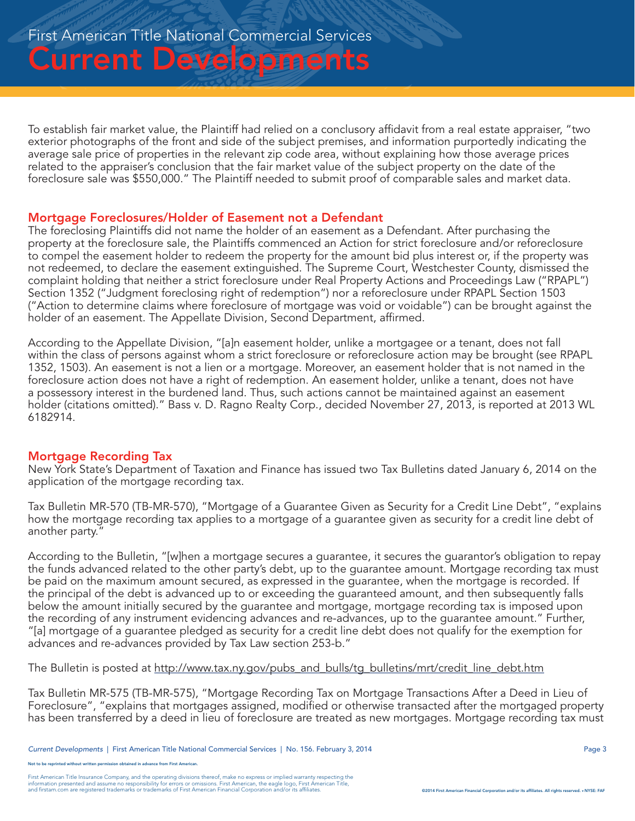To establish fair market value, the Plaintiff had relied on a conclusory affidavit from a real estate appraiser, "two exterior photographs of the front and side of the subject premises, and information purportedly indicating the average sale price of properties in the relevant zip code area, without explaining how those average prices related to the appraiser's conclusion that the fair market value of the subject property on the date of the foreclosure sale was \$550,000." The Plaintiff needed to submit proof of comparable sales and market data.

#### Mortgage Foreclosures/Holder of Easement not a Defendant

The foreclosing Plaintiffs did not name the holder of an easement as a Defendant. After purchasing the property at the foreclosure sale, the Plaintiffs commenced an Action for strict foreclosure and/or reforeclosure to compel the easement holder to redeem the property for the amount bid plus interest or, if the property was not redeemed, to declare the easement extinguished. The Supreme Court, Westchester County, dismissed the complaint holding that neither a strict foreclosure under Real Property Actions and Proceedings Law ("RPAPL") Section 1352 ("Judgment foreclosing right of redemption") nor a reforeclosure under RPAPL Section 1503 ("Action to determine claims where foreclosure of mortgage was void or voidable") can be brought against the holder of an easement. The Appellate Division, Second Department, affirmed.

According to the Appellate Division, "[a]n easement holder, unlike a mortgagee or a tenant, does not fall within the class of persons against whom a strict foreclosure or reforeclosure action may be brought (see RPAPL 1352, 1503). An easement is not a lien or a mortgage. Moreover, an easement holder that is not named in the foreclosure action does not have a right of redemption. An easement holder, unlike a tenant, does not have a possessory interest in the burdened land. Thus, such actions cannot be maintained against an easement holder (citations omitted)." Bass v. D. Ragno Realty Corp., decided November 27, 2013, is reported at 2013 WL 6182914.

#### Mortgage Recording Tax

New York State's Department of Taxation and Finance has issued two Tax Bulletins dated January 6, 2014 on the application of the mortgage recording tax.

Tax Bulletin MR-570 (TB-MR-570), "Mortgage of a Guarantee Given as Security for a Credit Line Debt", "explains how the mortgage recording tax applies to a mortgage of a guarantee given as security for a credit line debt of another party."

According to the Bulletin, "[w]hen a mortgage secures a guarantee, it secures the guarantor's obligation to repay the funds advanced related to the other party's debt, up to the guarantee amount. Mortgage recording tax must be paid on the maximum amount secured, as expressed in the guarantee, when the mortgage is recorded. If the principal of the debt is advanced up to or exceeding the guaranteed amount, and then subsequently falls below the amount initially secured by the guarantee and mortgage, mortgage recording tax is imposed upon the recording of any instrument evidencing advances and re-advances, up to the guarantee amount." Further, "[a] mortgage of a guarantee pledged as security for a credit line debt does not qualify for the exemption for advances and re-advances provided by Tax Law section 253-b."

The Bulletin is posted at http://www.tax.ny.gov/pubs\_and\_bulls/tg\_bulletins/mrt/credit\_line\_debt.htm

Tax Bulletin MR-575 (TB-MR-575), "Mortgage Recording Tax on Mortgage Transactions After a Deed in Lieu of Foreclosure", "explains that mortgages assigned, modified or otherwise transacted after the mortgaged property has been transferred by a deed in lieu of foreclosure are treated as new mortgages. Mortgage recording tax must

not to be reprinted without written permission obtained in advance from First American.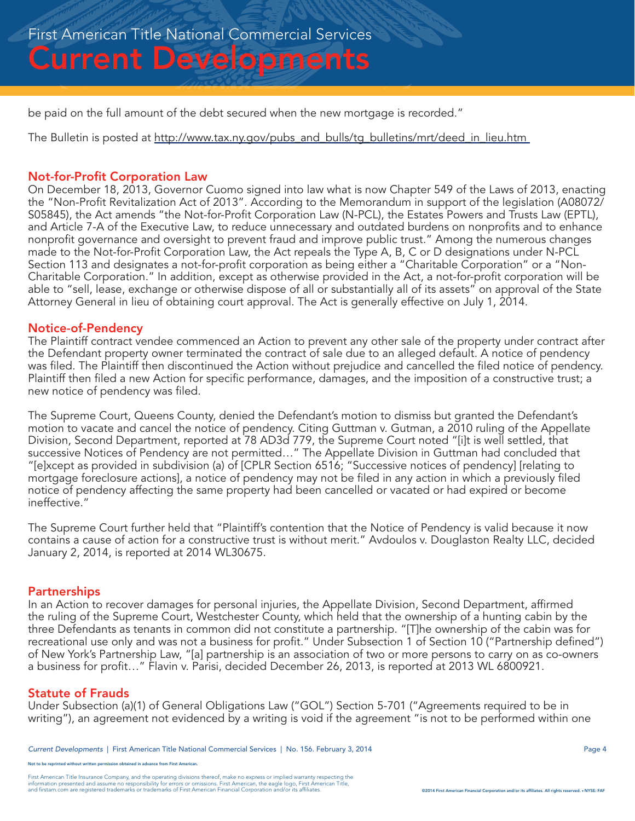be paid on the full amount of the debt secured when the new mortgage is recorded."

The Bulletin is posted at http://www.tax.ny.gov/pubs\_and\_bulls/tg\_bulletins/mrt/deed\_in\_lieu.htm

#### Not-for-Profit Corporation Law

On December 18, 2013, Governor Cuomo signed into law what is now Chapter 549 of the Laws of 2013, enacting the "Non-Profit Revitalization Act of 2013". According to the Memorandum in support of the legislation (A08072/ S05845), the Act amends "the Not-for-Profit Corporation Law (N-PCL), the Estates Powers and Trusts Law (EPTL), and Article 7-A of the Executive Law, to reduce unnecessary and outdated burdens on nonprofits and to enhance nonprofit governance and oversight to prevent fraud and improve public trust." Among the numerous changes made to the Not-for-Profit Corporation Law, the Act repeals the Type A, B, C or D designations under N-PCL Section 113 and designates a not-for-profit corporation as being either a "Charitable Corporation" or a "Non-Charitable Corporation." In addition, except as otherwise provided in the Act, a not-for-profit corporation will be able to "sell, lease, exchange or otherwise dispose of all or substantially all of its assets" on approval of the State Attorney General in lieu of obtaining court approval. The Act is generally effective on July 1, 2014.

#### Notice-of-Pendency

The Plaintiff contract vendee commenced an Action to prevent any other sale of the property under contract after the Defendant property owner terminated the contract of sale due to an alleged default. A notice of pendency was filed. The Plaintiff then discontinued the Action without prejudice and cancelled the filed notice of pendency. Plaintiff then filed a new Action for specific performance, damages, and the imposition of a constructive trust; a new notice of pendency was filed.

The Supreme Court, Queens County, denied the Defendant's motion to dismiss but granted the Defendant's motion to vacate and cancel the notice of pendency. Citing Guttman v. Gutman, a 2010 ruling of the Appellate Division, Second Department, reported at 78 AD3d 779, the Supreme Court noted "[i]t is well settled, that successive Notices of Pendency are not permitted…" The Appellate Division in Guttman had concluded that "[e]xcept as provided in subdivision (a) of [CPLR Section 6516; "Successive notices of pendency] [relating to mortgage foreclosure actions], a notice of pendency may not be filed in any action in which a previously filed notice of pendency affecting the same property had been cancelled or vacated or had expired or become ineffective."

The Supreme Court further held that "Plaintiff's contention that the Notice of Pendency is valid because it now contains a cause of action for a constructive trust is without merit." Avdoulos v. Douglaston Realty LLC, decided January 2, 2014, is reported at 2014 WL30675.

#### **Partnerships**

In an Action to recover damages for personal injuries, the Appellate Division, Second Department, affirmed the ruling of the Supreme Court, Westchester County, which held that the ownership of a hunting cabin by the three Defendants as tenants in common did not constitute a partnership. "[T]he ownership of the cabin was for recreational use only and was not a business for profit." Under Subsection 1 of Section 10 ("Partnership defined") of New York's Partnership Law, "[a] partnership is an association of two or more persons to carry on as co-owners a business for profit…" Flavin v. Parisi, decided December 26, 2013, is reported at 2013 WL 6800921.

#### Statute of Frauds

Under Subsection (a)(1) of General Obligations Law ("GOL") Section 5-701 ("Agreements required to be in writing"), an agreement not evidenced by a writing is void if the agreement "is not to be performed within one

e reprinted without written permission obtained in advance from First American.